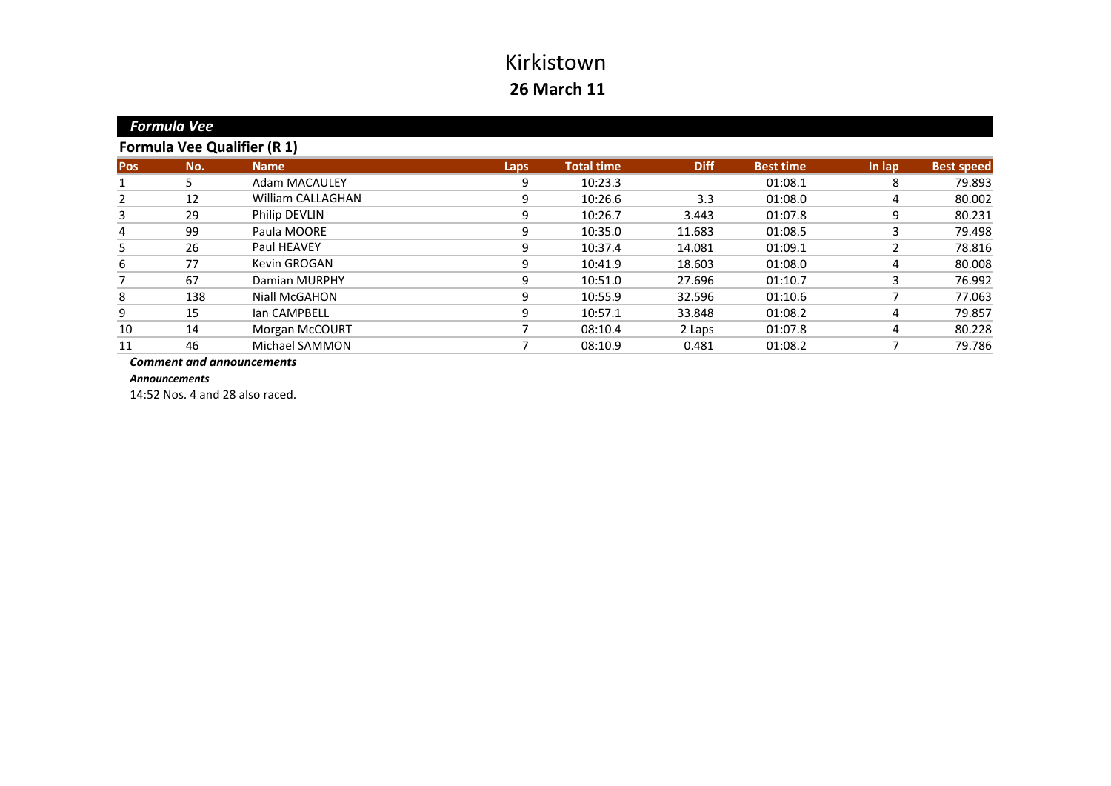|                                    | Formula Vee |                      |      |                   |             |                  |        |                   |  |  |
|------------------------------------|-------------|----------------------|------|-------------------|-------------|------------------|--------|-------------------|--|--|
| <b>Formula Vee Qualifier (R 1)</b> |             |                      |      |                   |             |                  |        |                   |  |  |
| <b>Pos</b>                         | No.         | <b>Name</b>          | Laps | <b>Total time</b> | <b>Diff</b> | <b>Best time</b> | In lap | <b>Best speed</b> |  |  |
|                                    | 5.          | <b>Adam MACAULEY</b> | 9    | 10:23.3           |             | 01:08.1          | 8      | 79.893            |  |  |
| 2                                  | 12          | William CALLAGHAN    | 9    | 10:26.6           | 3.3         | 01:08.0          | 4      | 80.002            |  |  |
| 3                                  | 29          | Philip DEVLIN        | 9    | 10:26.7           | 3.443       | 01:07.8          | 9      | 80.231            |  |  |
| 4                                  | 99          | Paula MOORE          | 9    | 10:35.0           | 11.683      | 01:08.5          |        | 79.498            |  |  |
| 5                                  | 26          | Paul HEAVEY          | 9    | 10:37.4           | 14.081      | 01:09.1          |        | 78.816            |  |  |
| 6                                  | 77          | Kevin GROGAN         | 9    | 10:41.9           | 18.603      | 01:08.0          | 4      | 80.008            |  |  |
|                                    | 67          | Damian MURPHY        | 9    | 10:51.0           | 27.696      | 01:10.7          | 3      | 76.992            |  |  |
| 8                                  | 138         | Niall McGAHON        | 9    | 10:55.9           | 32.596      | 01:10.6          |        | 77.063            |  |  |
| 9                                  | 15          | lan CAMPBELL         | 9    | 10:57.1           | 33.848      | 01:08.2          | 4      | 79.857            |  |  |
| 10                                 | 14          | Morgan McCOURT       |      | 08:10.4           | 2 Laps      | 01:07.8          | 4      | 80.228            |  |  |
| 11                                 | 46          | Michael SAMMON       |      | 08:10.9           | 0.481       | 01:08.2          |        | 79.786            |  |  |
|                                    |             |                      |      |                   |             |                  |        |                   |  |  |

*Comment and announcements*

*Announcements*

*Formula*

14:52 Nos. 4 and 28 also raced.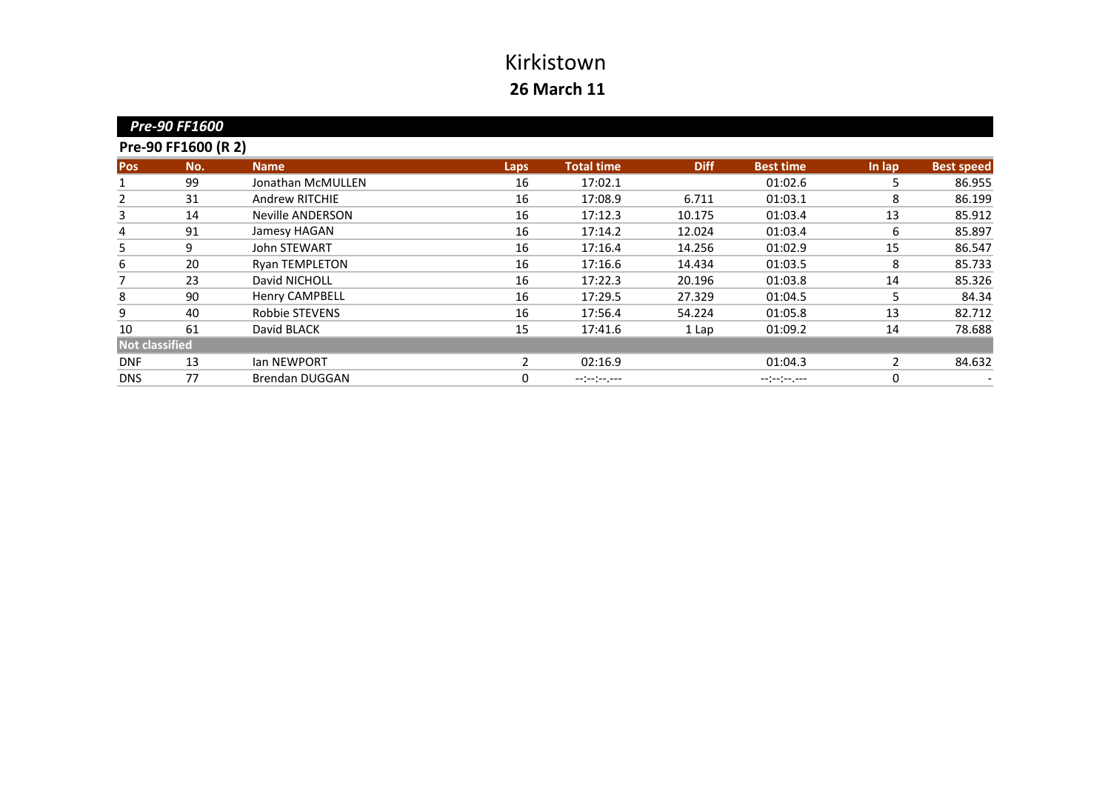|                     | <b>Pre-90 FF1600</b> |                         |              |                   |             |                  |               |                   |  |  |  |
|---------------------|----------------------|-------------------------|--------------|-------------------|-------------|------------------|---------------|-------------------|--|--|--|
| Pre-90 FF1600 (R 2) |                      |                         |              |                   |             |                  |               |                   |  |  |  |
| <b>Pos</b>          | No.                  | <b>Name</b>             | <b>Laps</b>  | <b>Total time</b> | <b>Diff</b> | <b>Best time</b> | In lap        | <b>Best speed</b> |  |  |  |
| 1                   | 99                   | Jonathan McMULLEN       | 16           | 17:02.1           |             | 01:02.6          | 5             | 86.955            |  |  |  |
| 2                   | 31                   | <b>Andrew RITCHIE</b>   | 16           | 17:08.9           | 6.711       | 01:03.1          | 8             | 86.199            |  |  |  |
| 3                   | 14                   | <b>Neville ANDERSON</b> | 16           | 17:12.3           | 10.175      | 01:03.4          | 13            | 85.912            |  |  |  |
| 4                   | 91                   | Jamesy HAGAN            | 16           | 17:14.2           | 12.024      | 01:03.4          | 6             | 85.897            |  |  |  |
| 5                   | 9                    | John STEWART            | 16           | 17:16.4           | 14.256      | 01:02.9          | 15            | 86.547            |  |  |  |
| 6                   | 20                   | <b>Ryan TEMPLETON</b>   | 16           | 17:16.6           | 14.434      | 01:03.5          | 8             | 85.733            |  |  |  |
| 7                   | 23                   | David NICHOLL           | 16           | 17:22.3           | 20.196      | 01:03.8          | 14            | 85.326            |  |  |  |
| 8                   | 90                   | <b>Henry CAMPBELL</b>   | 16           | 17:29.5           | 27.329      | 01:04.5          | 5             | 84.34             |  |  |  |
| 9                   | 40                   | Robbie STEVENS          | 16           | 17:56.4           | 54.224      | 01:05.8          | 13            | 82.712            |  |  |  |
| 10                  | 61                   | David BLACK             | 15           | 17:41.6           | 1 Lap       | 01:09.2          | 14            | 78.688            |  |  |  |
| Not classified      |                      |                         |              |                   |             |                  |               |                   |  |  |  |
| <b>DNF</b>          | 13                   | <b>Ian NEWPORT</b>      | $\mathbf{2}$ | 02:16.9           |             | 01:04.3          | $\mathcal{P}$ | 84.632            |  |  |  |
| <b>DNS</b>          | 77                   | <b>Brendan DUGGAN</b>   | 0            | --:-:----         |             | --:--:----       | 0             |                   |  |  |  |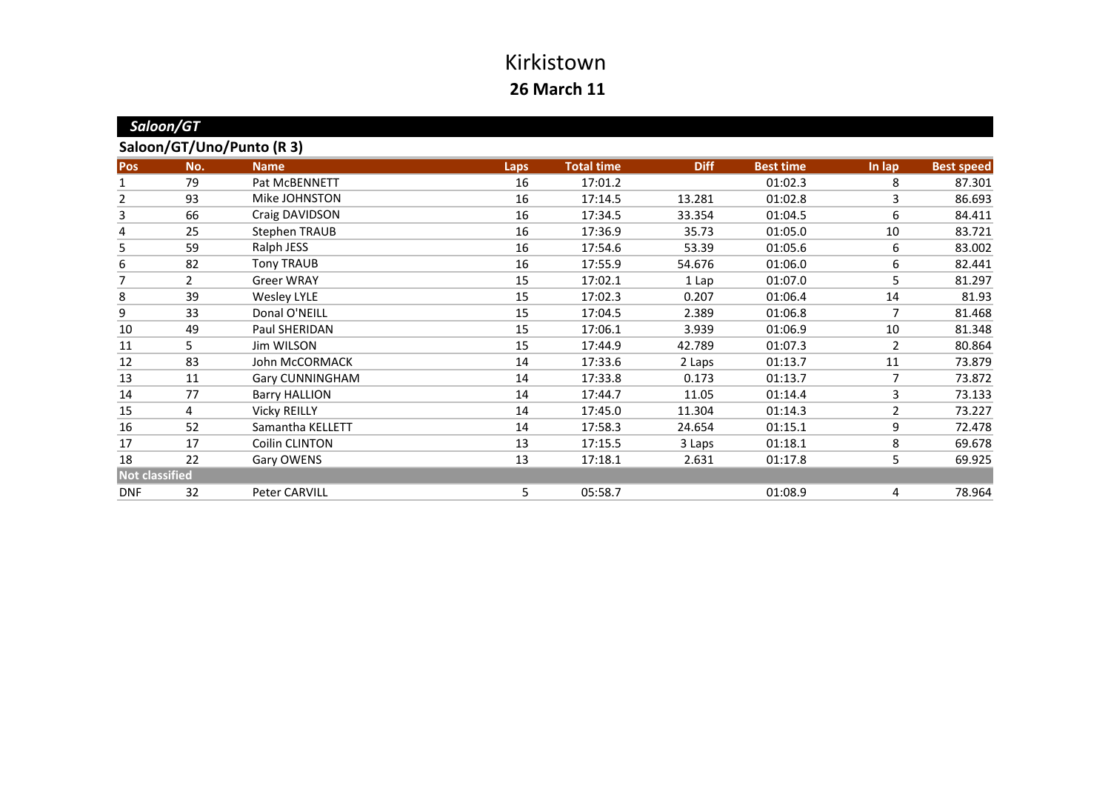| Saloon/GT                 |     |                      |             |                   |             |                  |                |                   |
|---------------------------|-----|----------------------|-------------|-------------------|-------------|------------------|----------------|-------------------|
| Saloon/GT/Uno/Punto (R 3) |     |                      |             |                   |             |                  |                |                   |
| <b>Pos</b>                | No. | <b>Name</b>          | <b>Laps</b> | <b>Total time</b> | <b>Diff</b> | <b>Best time</b> | In lap         | <b>Best speed</b> |
| 1                         | 79  | Pat McBENNETT        | 16          | 17:01.2           |             | 01:02.3          | 8              | 87.301            |
| $\overline{2}$            | 93  | Mike JOHNSTON        | 16          | 17:14.5           | 13.281      | 01:02.8          | 3              | 86.693            |
| 3                         | 66  | Craig DAVIDSON       | 16          | 17:34.5           | 33.354      | 01:04.5          | 6              | 84.411            |
| 4                         | 25  | <b>Stephen TRAUB</b> | 16          | 17:36.9           | 35.73       | 01:05.0          | 10             | 83.721            |
| 5                         | 59  | Ralph JESS           | 16          | 17:54.6           | 53.39       | 01:05.6          | 6              | 83.002            |
| 6                         | 82  | <b>Tony TRAUB</b>    | 16          | 17:55.9           | 54.676      | 01:06.0          | 6              | 82.441            |
| 7                         | 2   | <b>Greer WRAY</b>    | 15          | 17:02.1           | 1 Lap       | 01:07.0          | 5              | 81.297            |
| 8                         | 39  | <b>Wesley LYLE</b>   | 15          | 17:02.3           | 0.207       | 01:06.4          | 14             | 81.93             |
| 9                         | 33  | Donal O'NEILL        | 15          | 17:04.5           | 2.389       | 01:06.8          | 7              | 81.468            |
| 10                        | 49  | Paul SHERIDAN        | 15          | 17:06.1           | 3.939       | 01:06.9          | 10             | 81.348            |
| 11                        | 5   | Jim WILSON           | 15          | 17:44.9           | 42.789      | 01:07.3          | $\overline{2}$ | 80.864            |
| 12                        | 83  | John McCORMACK       | 14          | 17:33.6           | 2 Laps      | 01:13.7          | 11             | 73.879            |
| 13                        | 11  | Gary CUNNINGHAM      | 14          | 17:33.8           | 0.173       | 01:13.7          | 7              | 73.872            |
| 14                        | 77  | <b>Barry HALLION</b> | 14          | 17:44.7           | 11.05       | 01:14.4          | 3              | 73.133            |
| 15                        | 4   | <b>Vicky REILLY</b>  | 14          | 17:45.0           | 11.304      | 01:14.3          | $\overline{2}$ | 73.227            |
| 16                        | 52  | Samantha KELLETT     | 14          | 17:58.3           | 24.654      | 01:15.1          | 9              | 72.478            |
| 17                        | 17  | Coilin CLINTON       | 13          | 17:15.5           | 3 Laps      | 01:18.1          | 8              | 69.678            |
| 18                        | 22  | Gary OWENS           | 13          | 17:18.1           | 2.631       | 01:17.8          | 5              | 69.925            |
| <b>Not classified</b>     |     |                      |             |                   |             |                  |                |                   |
| <b>DNF</b>                | 32  | Peter CARVILL        | 5.          | 05:58.7           |             | 01:08.9          | 4              | 78.964            |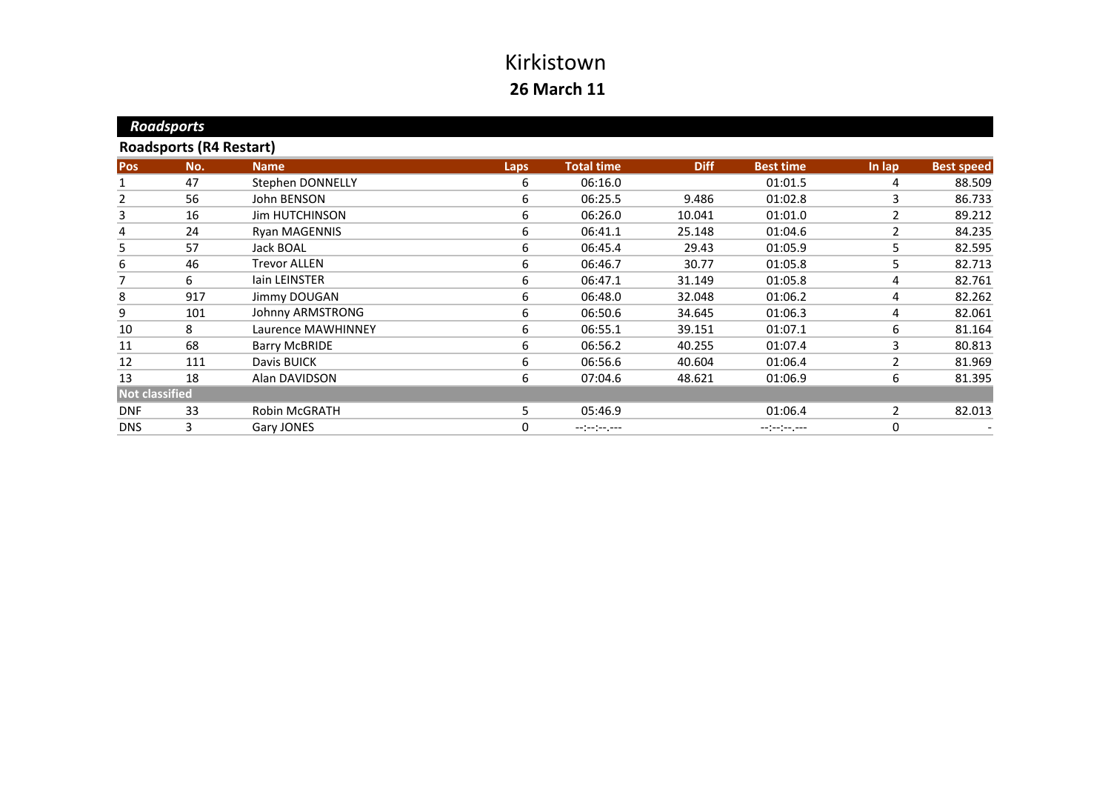|                                | <b>Roadsports</b> |                       |             |                   |             |                  |                |                   |  |  |
|--------------------------------|-------------------|-----------------------|-------------|-------------------|-------------|------------------|----------------|-------------------|--|--|
| <b>Roadsports (R4 Restart)</b> |                   |                       |             |                   |             |                  |                |                   |  |  |
| <b>Pos</b>                     | No.               | <b>Name</b>           | <b>Laps</b> | <b>Total time</b> | <b>Diff</b> | <b>Best time</b> | In lap         | <b>Best speed</b> |  |  |
| 1                              | 47                | Stephen DONNELLY      | 6           | 06:16.0           |             | 01:01.5          | 4              | 88.509            |  |  |
| 2                              | 56                | John BENSON           | 6           | 06:25.5           | 9.486       | 01:02.8          | 3              | 86.733            |  |  |
| 3                              | 16                | <b>Jim HUTCHINSON</b> | 6           | 06:26.0           | 10.041      | 01:01.0          | 2              | 89.212            |  |  |
| 4                              | 24                | <b>Ryan MAGENNIS</b>  | 6           | 06:41.1           | 25.148      | 01:04.6          | 2              | 84.235            |  |  |
| 5                              | 57                | Jack BOAL             | 6           | 06:45.4           | 29.43       | 01:05.9          | 5              | 82.595            |  |  |
| 6                              | 46                | <b>Trevor ALLEN</b>   | 6           | 06:46.7           | 30.77       | 01:05.8          | 5              | 82.713            |  |  |
| 7                              | 6                 | lain LEINSTER         | 6           | 06:47.1           | 31.149      | 01:05.8          | 4              | 82.761            |  |  |
| 8                              | 917               | Jimmy DOUGAN          | 6           | 06:48.0           | 32.048      | 01:06.2          | 4              | 82.262            |  |  |
| 9                              | 101               | Johnny ARMSTRONG      | 6           | 06:50.6           | 34.645      | 01:06.3          | 4              | 82.061            |  |  |
| 10                             | 8                 | Laurence MAWHINNEY    | 6           | 06:55.1           | 39.151      | 01:07.1          | 6              | 81.164            |  |  |
| 11                             | 68                | <b>Barry McBRIDE</b>  | 6           | 06:56.2           | 40.255      | 01:07.4          | 3              | 80.813            |  |  |
| 12                             | 111               | Davis BUICK           | 6           | 06:56.6           | 40.604      | 01:06.4          | 2              | 81.969            |  |  |
| 13                             | 18                | Alan DAVIDSON         | 6           | 07:04.6           | 48.621      | 01:06.9          | 6              | 81.395            |  |  |
| <b>Not classified</b>          |                   |                       |             |                   |             |                  |                |                   |  |  |
| <b>DNF</b>                     | 33                | Robin McGRATH         | 5.          | 05:46.9           |             | 01:06.4          | $\overline{2}$ | 82.013            |  |  |
| <b>DNS</b>                     | 3                 | Gary JONES            | 0           | $-1(-1)^{n-1}$    |             | --:--:--.--      | 0              |                   |  |  |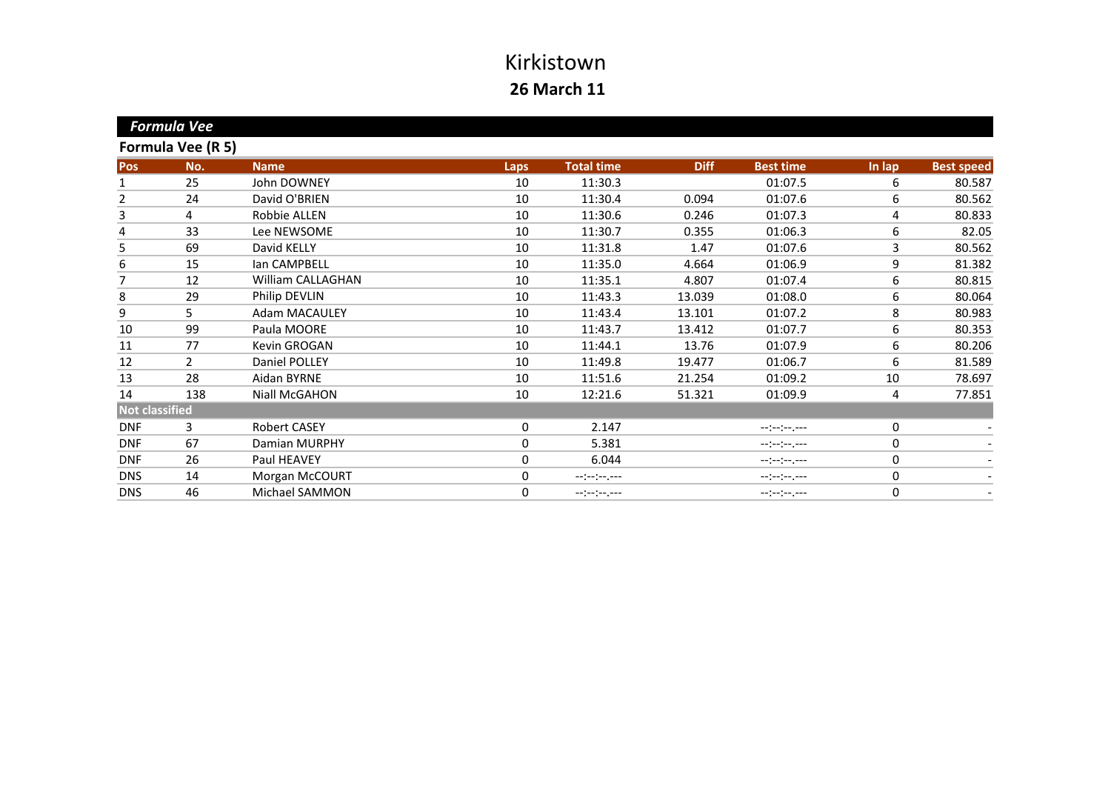|                       | <b>Formula Vee</b> |                     |      |                   |             |                              |        |                   |
|-----------------------|--------------------|---------------------|------|-------------------|-------------|------------------------------|--------|-------------------|
|                       | Formula Vee (R 5)  |                     |      |                   |             |                              |        |                   |
| Pos                   | No.                | <b>Name</b>         | Laps | <b>Total time</b> | <b>Diff</b> | <b>Best time</b>             | In lap | <b>Best speed</b> |
| 1                     | 25                 | John DOWNEY         | 10   | 11:30.3           |             | 01:07.5                      | 6      | 80.587            |
| 2                     | 24                 | David O'BRIEN       | 10   | 11:30.4           | 0.094       | 01:07.6                      | 6      | 80.562            |
| 3                     | 4                  | Robbie ALLEN        | 10   | 11:30.6           | 0.246       | 01:07.3                      | 4      | 80.833            |
| 4                     | 33                 | Lee NEWSOME         | 10   | 11:30.7           | 0.355       | 01:06.3                      | 6      | 82.05             |
| 5                     | 69                 | David KELLY         | 10   | 11:31.8           | 1.47        | 01:07.6                      | 3      | 80.562            |
| 6                     | 15                 | lan CAMPBELL        | 10   | 11:35.0           | 4.664       | 01:06.9                      | 9      | 81.382            |
| 7                     | 12                 | William CALLAGHAN   | 10   | 11:35.1           | 4.807       | 01:07.4                      | 6      | 80.815            |
| 8                     | 29                 | Philip DEVLIN       | 10   | 11:43.3           | 13.039      | 01:08.0                      | 6      | 80.064            |
| $\boldsymbol{9}$      | 5                  | Adam MACAULEY       | 10   | 11:43.4           | 13.101      | 01:07.2                      | 8      | 80.983            |
| 10                    | 99                 | Paula MOORE         | 10   | 11:43.7           | 13.412      | 01:07.7                      | 6      | 80.353            |
| 11                    | 77                 | Kevin GROGAN        | 10   | 11:44.1           | 13.76       | 01:07.9                      | 6      | 80.206            |
| 12                    | $\overline{2}$     | Daniel POLLEY       | 10   | 11:49.8           | 19.477      | 01:06.7                      | 6      | 81.589            |
| 13                    | 28                 | Aidan BYRNE         | 10   | 11:51.6           | 21.254      | 01:09.2                      | 10     | 78.697            |
| 14                    | 138                | Niall McGAHON       | 10   | 12:21.6           | 51.321      | 01:09.9                      | 4      | 77.851            |
| <b>Not classified</b> |                    |                     |      |                   |             |                              |        |                   |
| <b>DNF</b>            | 3                  | <b>Robert CASEY</b> | 0    | 2.147             |             |                              | 0      |                   |
| <b>DNF</b>            | 67                 | Damian MURPHY       | 0    | 5.381             |             | $-1(-1)^{n-1}$               | 0      |                   |
| <b>DNF</b>            | 26                 | Paul HEAVEY         | 0    | 6.044             |             | $-1 - 1 - 1 - 1 - 1 - 1 - 1$ | 0      |                   |
| <b>DNS</b>            | 14                 | Morgan McCOURT      | 0    | --:--:----        |             | $-1(-1)^{n-1}$               | 0      | -                 |
| <b>DNS</b>            | 46                 | Michael SAMMON      | 0    |                   |             | $-1 - 1 - 1 - 1 - 1 - 1 - 1$ | 0      |                   |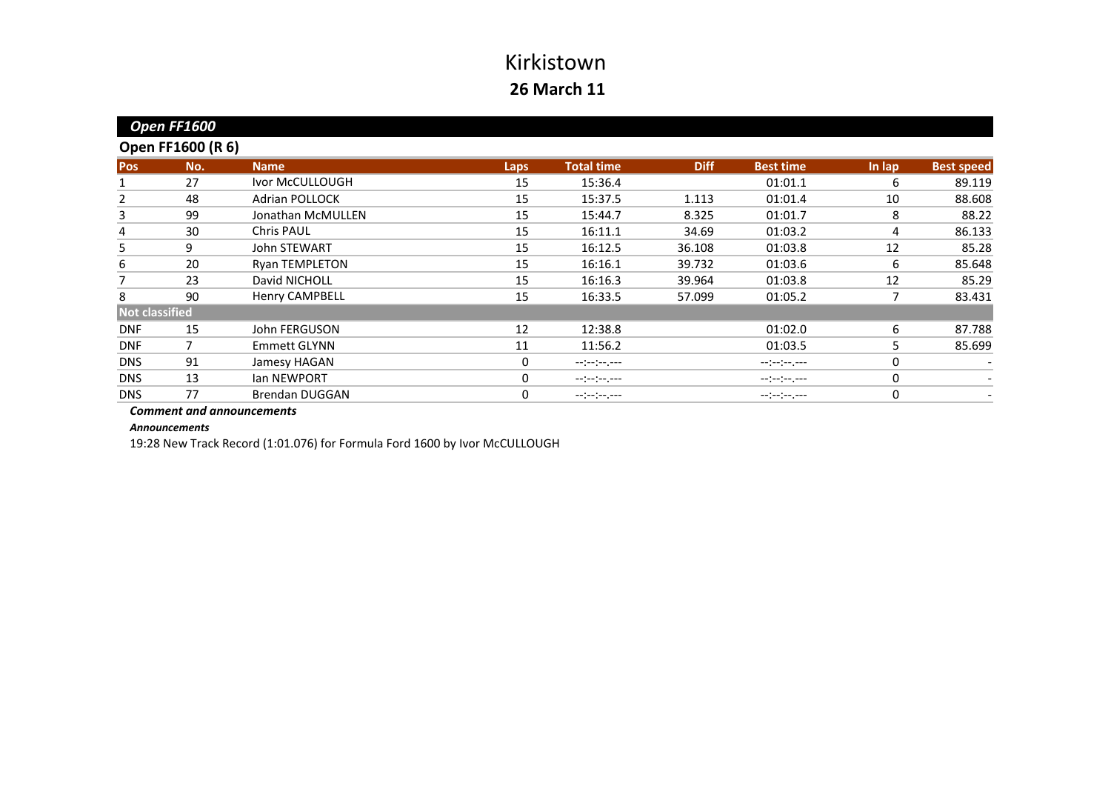|                       | Open FF1600              |                       |      |                   |             |                  |        |                   |
|-----------------------|--------------------------|-----------------------|------|-------------------|-------------|------------------|--------|-------------------|
|                       | <b>Open FF1600 (R 6)</b> |                       |      |                   |             |                  |        |                   |
| <b>Pos</b>            | No.                      | <b>Name</b>           | Laps | <b>Total time</b> | <b>Diff</b> | <b>Best time</b> | In lap | <b>Best speed</b> |
|                       | 27                       | Ivor McCULLOUGH       | 15   | 15:36.4           |             | 01:01.1          | 6      | 89.119            |
| 2                     | 48                       | <b>Adrian POLLOCK</b> | 15   | 15:37.5           | 1.113       | 01:01.4          | 10     | 88.608            |
| 3                     | 99                       | Jonathan McMULLEN     | 15   | 15:44.7           | 8.325       | 01:01.7          | 8      | 88.22             |
| 4                     | 30                       | <b>Chris PAUL</b>     | 15   | 16:11.1           | 34.69       | 01:03.2          | 4      | 86.133            |
| 5                     | 9                        | <b>John STEWART</b>   | 15   | 16:12.5           | 36.108      | 01:03.8          | 12     | 85.28             |
| 6                     | 20                       | <b>Ryan TEMPLETON</b> | 15   | 16:16.1           | 39.732      | 01:03.6          | 6      | 85.648            |
|                       | 23                       | David NICHOLL         | 15   | 16:16.3           | 39.964      | 01:03.8          | 12     | 85.29             |
| 8                     | 90                       | <b>Henry CAMPBELL</b> | 15   | 16:33.5           | 57.099      | 01:05.2          | 7      | 83.431            |
| <b>Not classified</b> |                          |                       |      |                   |             |                  |        |                   |
| <b>DNF</b>            | 15                       | John FERGUSON         | 12   | 12:38.8           |             | 01:02.0          | 6      | 87.788            |
| <b>DNF</b>            |                          | <b>Emmett GLYNN</b>   | 11   | 11:56.2           |             | 01:03.5          | 5      | 85.699            |
| <b>DNS</b>            | 91                       | Jamesy HAGAN          | 0    | --:-:----         |             |                  | 0      |                   |
| <b>DNS</b>            | 13                       | Ian NEWPORT           | 0    | --:-:----         |             | --:--:-----      | 0      |                   |
| <b>DNS</b>            | 77                       | <b>Brendan DUGGAN</b> | 0    | --:--:--.--       |             | --:--:----       | 0      |                   |
|                       |                          |                       |      |                   |             |                  |        |                   |

*Comment and announcements*

*Announcements*

19:28 New Track Record (1:01.076) for Formula Ford 1600 by Ivor McCULLOUGH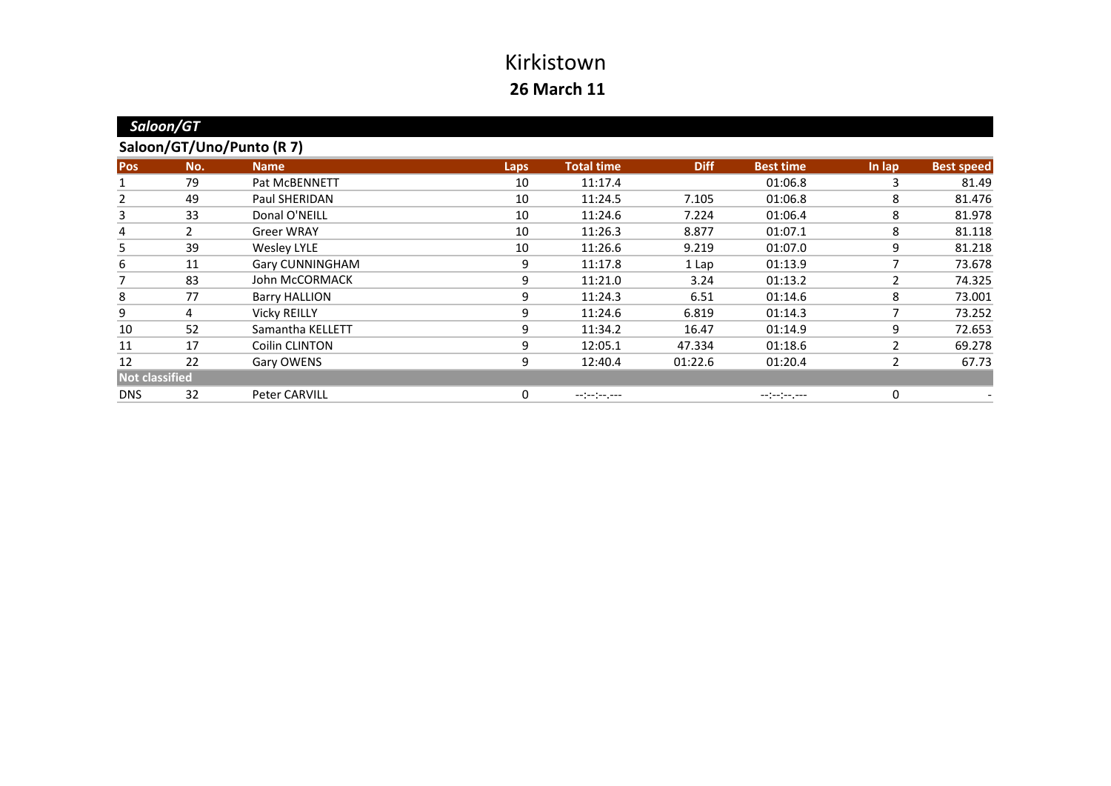| Saloon/GT                 |              |                      |             |                   |             |                  |        |                   |
|---------------------------|--------------|----------------------|-------------|-------------------|-------------|------------------|--------|-------------------|
| Saloon/GT/Uno/Punto (R 7) |              |                      |             |                   |             |                  |        |                   |
| Pos                       | No.          | <b>Name</b>          | <b>Laps</b> | <b>Total time</b> | <b>Diff</b> | <b>Best time</b> | In lap | <b>Best speed</b> |
|                           | 79           | Pat McBENNETT        | 10          | 11:17.4           |             | 01:06.8          | 3      | 81.49             |
| 2                         | 49           | Paul SHERIDAN        | 10          | 11:24.5           | 7.105       | 01:06.8          | 8      | 81.476            |
| 3                         | 33           | Donal O'NEILL        | 10          | 11:24.6           | 7.224       | 01:06.4          | 8      | 81.978            |
| 4                         | $\mathbf{2}$ | <b>Greer WRAY</b>    | 10          | 11:26.3           | 8.877       | 01:07.1          | 8      | 81.118            |
| 5                         | 39           | <b>Wesley LYLE</b>   | 10          | 11:26.6           | 9.219       | 01:07.0          | 9      | 81.218            |
| 6                         | 11           | Gary CUNNINGHAM      | 9           | 11:17.8           | 1 Lap       | 01:13.9          | 7      | 73.678            |
| 7                         | 83           | John McCORMACK       | 9           | 11:21.0           | 3.24        | 01:13.2          | 2      | 74.325            |
| 8                         | 77           | <b>Barry HALLION</b> | 9           | 11:24.3           | 6.51        | 01:14.6          | 8      | 73.001            |
| 9                         | 4            | <b>Vicky REILLY</b>  | 9           | 11:24.6           | 6.819       | 01:14.3          | 7      | 73.252            |
| 10                        | 52           | Samantha KELLETT     | 9           | 11:34.2           | 16.47       | 01:14.9          | 9      | 72.653            |
| 11                        | 17           | Coilin CLINTON       | 9           | 12:05.1           | 47.334      | 01:18.6          | 2      | 69.278            |
| 12                        | 22           | Gary OWENS           | 9           | 12:40.4           | 01:22.6     | 01:20.4          | 2      | 67.73             |
| <b>Not classified</b>     |              |                      |             |                   |             |                  |        |                   |
| <b>DNS</b>                | 32           | <b>Peter CARVILL</b> | 0           | --:-:----         |             | --:-:----        | 0      |                   |